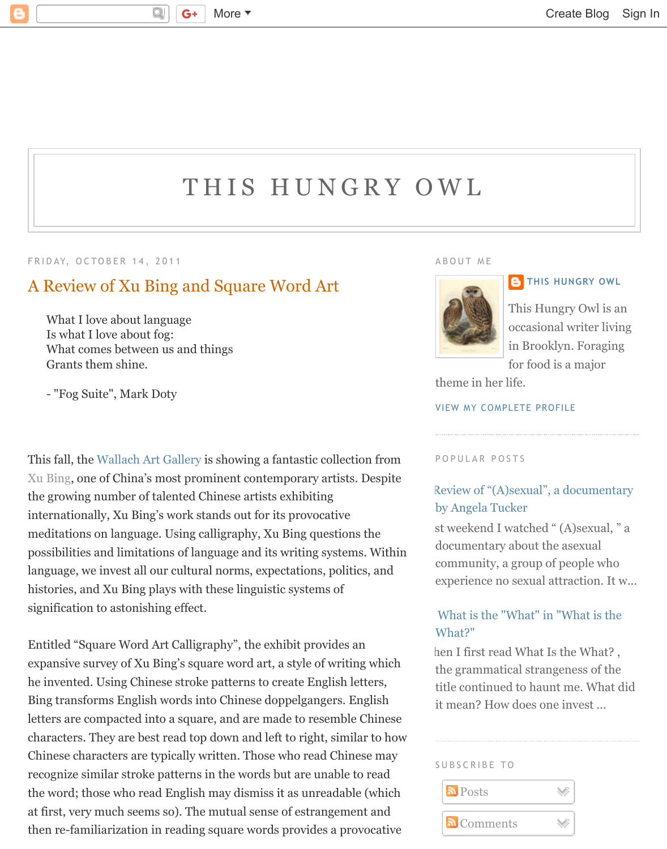# THIS HUNGRY OWL

### FRIDAY, OCTOBER 14, 2011

## A Review of Xu Bing [and Square Word Art](http://thishungryowl.blogspot.com/)

What I love about language Is what I love about fog: What comes between us and things Grants them shine.

- "Fog Suite", Mark Doty

This fall, the Wallach Art Gallery is showing a fantastic collection from Xu Bing, one of China's most prominent contemporary artists. Despite the growing number of talented Chinese artists exhibiting internationally, Xu Bing's work stands out for its provocative meditations on language. Using calligraphy, Xu Bing questions the possibilities and limitations of language and its writing systems. Within language, w[e invest all our cultur](http://www.artandeducation.net/announcement/xu-bing-at-columbia-university%E2%80%99s-wallach-art-gallery/)al norms, expectations, politics, and [histories](http://www.xubing.com/), and Xu Bing plays with these linguistic systems of signification to astonishing effect.

Entitled "Square Word Art Calligraphy", the exhibit provides an expansive survey of Xu Bing's square word art, a style of writing which he invented. Using Chinese stroke patterns to create English letters, Bing transforms English words into Chinese doppelgangers. English letters are compacted into a square, and are made to resemble Chinese characters. They are best read top down and left to right, similar to how Chinese characters are typically written. Those who read Chinese may recognize similar stroke patterns in the words but are unable to read the word; those who read English may dismiss it as unreadable (which at first, very much seems so). The mutual sense of estrangement and then re-familiarization in reading square words provides a provocative

#### ABOUT ME



## **B** THIS HU

This Hungr occasional in Brooklyn for food is

theme in her life.

**VIEW MY COMPLETE PROFIL** 

#### POPULAR POSTS

## Review of "(A)sexual", a d by Angela Tucker

[st weekend I watched " \(A\)](https://www.blogger.com/profile/06380482303785065244) documentary about the a community, a group of p experience no sexual attr

## What is the "What" in "V What?"

hen I first read What Is the the grammatical strangeness title continued to haunt i it mean? How does one in

#### SUBSCRIBE TO

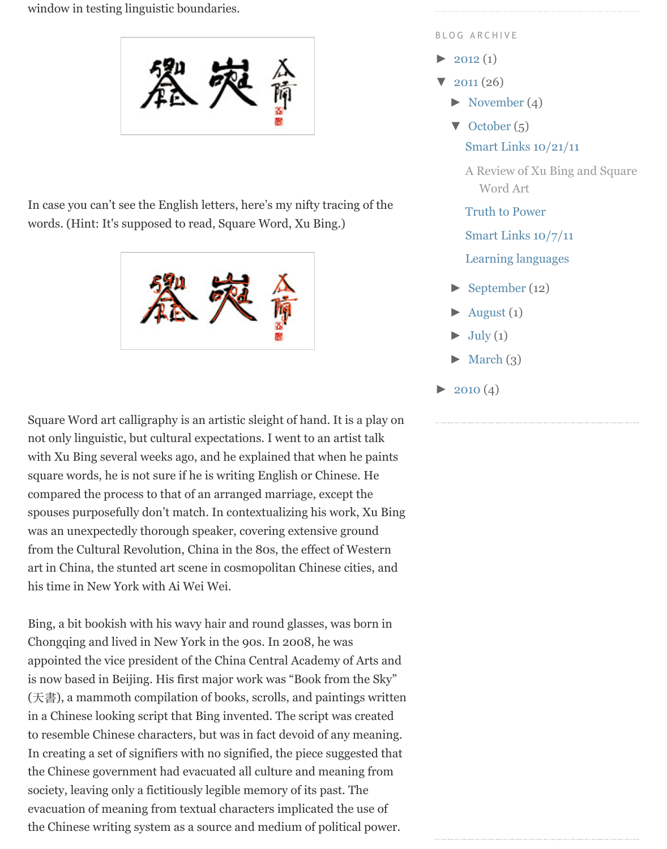M

In case you can't [see the English letters, here's my nifty](http://1.bp.blogspot.com/-jJykAuiNuAg/TpjJ4hOYGHI/AAAAAAAAE6w/Wx-b1lc9__o/s1600/xu%2Bbing.jpg) tracing of the words. (Hint: It's supposed to read, Square Word, Xu Bing.)



Square Word art [calligraphy is an artistic sleight of han](http://2.bp.blogspot.com/-fpH0dEkypo8/TpjGn_S8bAI/AAAAAAAAE50/LadDIFW-te8/s1600/Xu%2BBing%2Bword%2Bart.jpg)d. It is a play on not only linguistic, but cultural expectations. I went to an artist talk with Xu Bing several weeks ago, and he explained that when he paints square words, he is not sure if he is writing English or Chinese. He compared the process to that of an arranged marriage, except the spouses purposefully don't match. In contextualizing his work, Xu Bing was an unexpectedly thorough speaker, covering extensive ground from the Cultural Revolution, China in the 80s, the effect of Western art in China, the stunted art scene in cosmopolitan Chinese cities, and his time in New York with Ai Wei Wei.

Bing, a bit bookish with his wavy hair and round glasses, was born in Chongqing and lived in New York in the 90s. In 2008, he was appointed the vice president of the China Central Academy of Arts and is now based in Beijing. His first major work was "Book from the Sky" (天書), a mammoth compilation of books, scrolls, and paintings written in a Chinese looking script that Bing invented. The script was created to resemble Chinese characters, but was in fact devoid of any meaning. In creating a set of signifiers with no signified, the piece suggested that the Chinese government had evacuated all culture and meaning from society, leaving only a fictitiously legible memory of its past. The evacuation of meaning from textual characters implicated the use of the Chinese writing system as a source and medium of political power.

- ▼ October (5) Smart Links  $10/21/$ 
	- [A R](http://thishungryowl.blogspot.com/2012/)eview of Xu Bin [W](http://thishungryowl.blogspot.com/2011/)ord Art
	- [Truth to Pow](http://thishungryowl.blogspot.com/2011/11/)er

[S](javascript:void(0))[mart Lin](http://thishungryowl.blogspot.com/2011/10/)ks 10/7/11

[Learning languages](http://thishungryowl.blogspot.com/2011/10/this-awesome-hammock-boat-is-courtesy.html)

- ► [September \(12\)](http://thishungryowl.blogspot.com/2011/10/review-of-xu-bing-and-square-word-art.html)
- August  $(1)$
- $\text{July } (1)$
- March  $(3)$
- $\blacktriangleright$  2010 (4)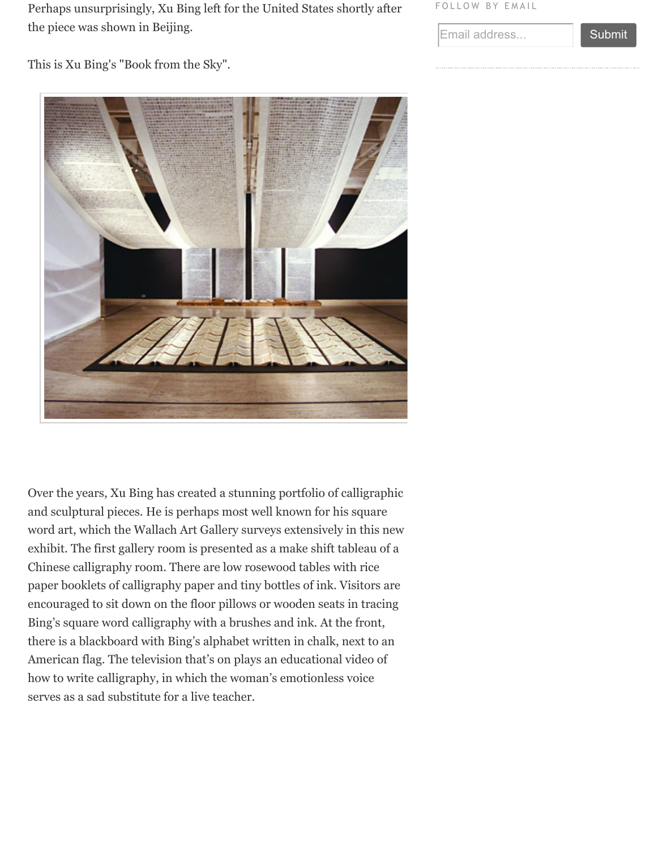

Over the years, Xu Bing has created a stunning portfolio of calligraphic and sculptural pieces. He is perhaps most well known for his square w[ord art, which the Wallach Art Gallery surveys extensively in this new](http://blog.art21.org/wp-content/uploads/2011/08/Book-from-the-sky.jpg) exhibit. The first gallery room is presented as a make shift tableau of a Chinese calligraphy room. There are low rosewood tables with rice paper booklets of calligraphy paper and tiny bottles of ink. Visitors are encouraged to sit down on the floor pillows or wooden seats in tracing Bing's square word calligraphy with a brushes and ink. At the front, there is a blackboard with Bing's alphabet written in chalk, next to an American flag. The television that's on plays an educational video of how to write calligraphy, in which the woman's emotionless voice serves as a sad substitute for a live teacher.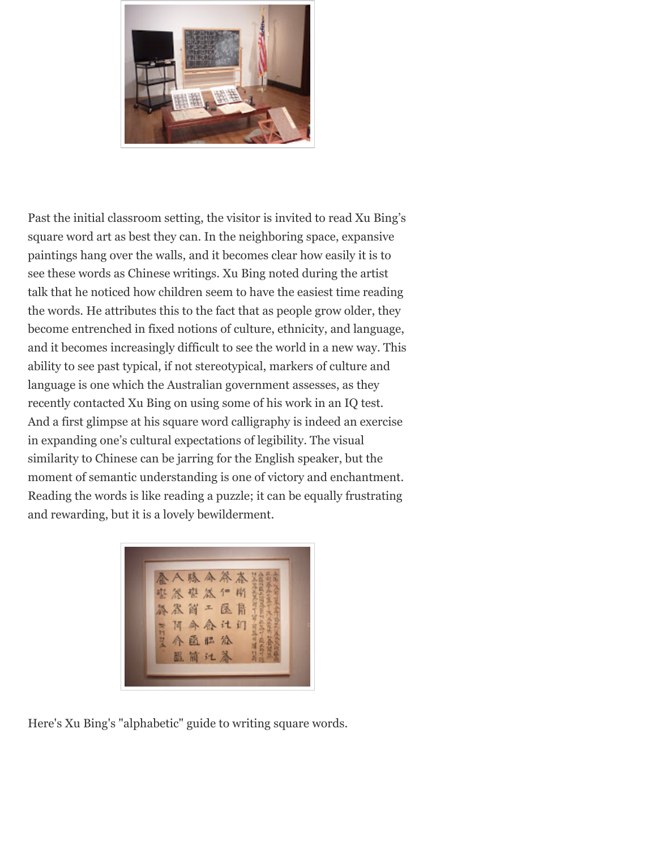

Past the initial cl[assroom setting, the visitor is invited t](http://3.bp.blogspot.com/-uK5EEHm5ec8/TpjHaUDTKRI/AAAAAAAAE6A/q6faF1eO4Uw/s1600/P1090919.JPG)o read Xu Bing's square word art as best they can. In the neighboring space, expansive paintings hang over the walls, and it becomes clear how easily it is to see these words as Chinese writings. Xu Bing noted during the artist talk that he noticed how children seem to have the easiest time reading the words. He attributes this to the fact that as people grow older, they become entrenched in fixed notions of culture, ethnicity, and language, and it becomes increasingly difficult to see the world in a new way. This ability to see past typical, if not stereotypical, markers of culture and language is one which the Australian government assesses, as they recently contacted Xu Bing on using some of his work in an IQ test. And a first glimpse at his square word calligraphy is indeed an exercise in expanding one's cultural expectations of legibility. The visual similarity to Chinese can be jarring for the English speaker, but the moment of semantic understanding is one of victory and enchantment. Reading the words is like reading a puzzle; it can be equally frustrating and rewarding, but it is a lovely bewilderment.



Here's Xu Bing's ["alphabetic" guide to writing square w](http://2.bp.blogspot.com/-VKvcOFis0jw/TpjH0ax-DKI/AAAAAAAAE6M/otkqAYrOphY/s1600/P1090908.JPG)ords.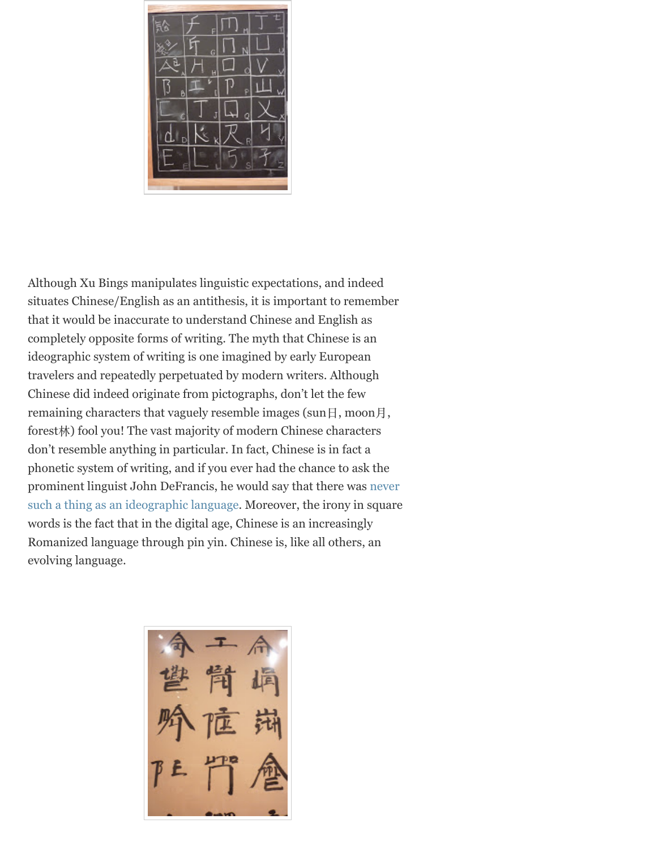

Although Xu Bings m[anipulates linguistic expecta](http://2.bp.blogspot.com/-KDMVTfuBoV8/TpjNbyBkyzI/AAAAAAAAE7g/XHMo7X-TbRQ/s1600/P1090931.JPG)tions, and indeed situates Chinese/English as an antithesis, it is important to remember that it would be inaccurate to understand Chinese and English as completely opposite forms of writing. The myth that Chinese is an ideographic system of writing is one imagined by early European travelers and repeatedly perpetuated by modern writers. Although Chinese did indeed originate from pictographs, don't let the few remaining characters that vaguely resemble images (sun $\boxminus$ , moon $\boxminus$ , forest林) fool you! The vast majority of modern Chinese characters don't resemble anything in particular. In fact, Chinese is in fact a phonetic system of writing, and if you ever had the chance to ask the prominent linguist John DeFrancis, he would say that there was never such a thing as an ideographic language. Moreover, the irony in square words is the fact that in the digital age, Chinese is an increasingly Romanized language through pin yin. Chinese is, like all others, an evolving language.

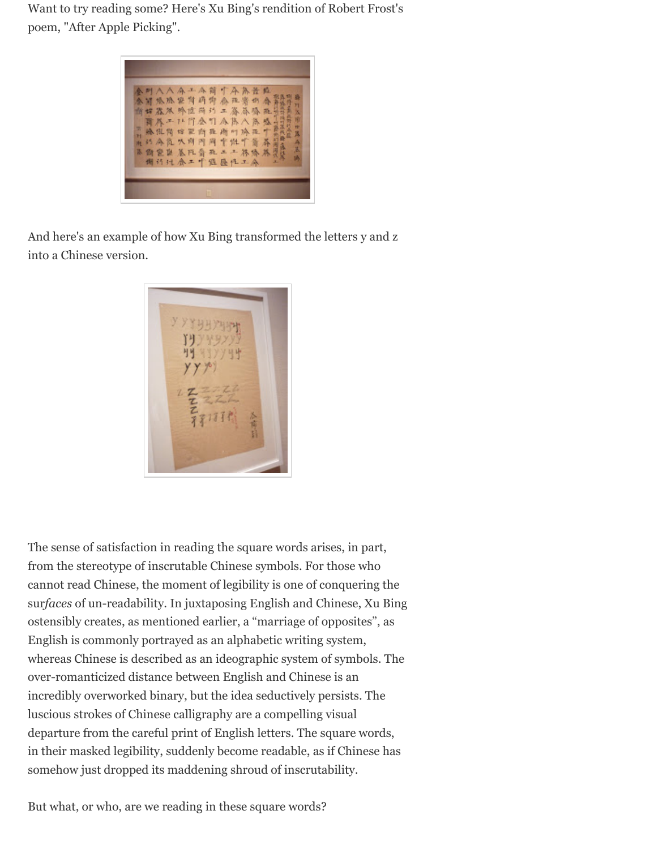

And here's an ex[ample of how Xu Bing transformed th](http://1.bp.blogspot.com/-I4KTWwwoJ3U/TpjOUqXAu2I/AAAAAAAAE7s/avjgc9G3aLU/s1600/P1090913.JPG)e letters y and z into a Chinese version.



The sense of satisfact[ion in reading the square wor](http://4.bp.blogspot.com/-n1lTtlVLnFw/TpjPZEP9glI/AAAAAAAAE74/QNT10Haw-9Q/s1600/P1090928.JPG)ds arises, in part, from the stereotype of inscrutable Chinese symbols. For those who cannot read Chinese, the moment of legibility is one of conquering the sur*faces* of un-readability. In juxtaposing English and Chinese, Xu Bing ostensibly creates, as mentioned earlier, a "marriage of opposites", as English is commonly portrayed as an alphabetic writing system, whereas Chinese is described as an ideographic system of symbols. The over-romanticized distance between English and Chinese is an incredibly overworked binary, but the idea seductively persists. The luscious strokes of Chinese calligraphy are a compelling visual departure from the careful print of English letters. The square words, in their masked legibility, suddenly become readable, as if Chinese has somehow just dropped its maddening shroud of inscrutability.

But what, or who, are we reading in these square words?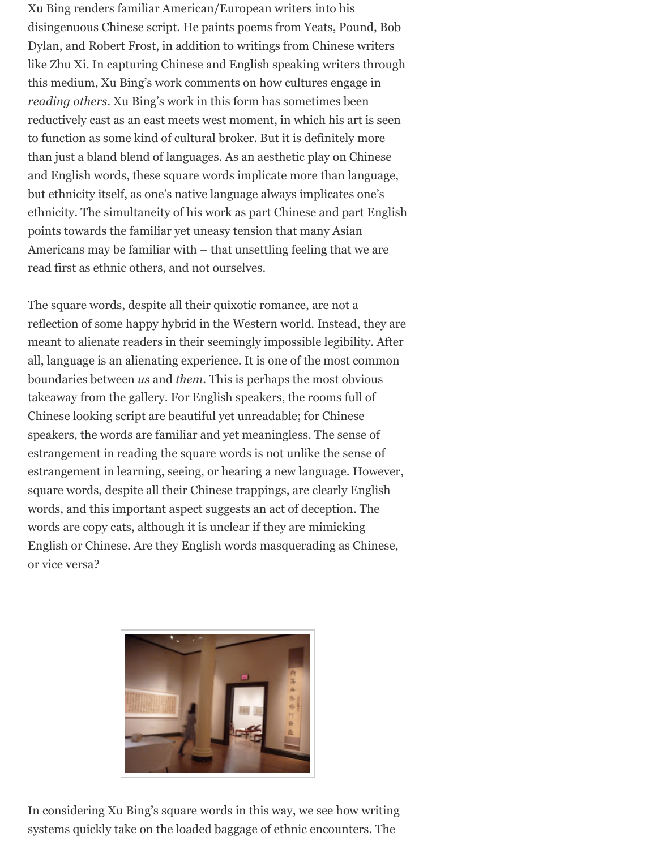reductively cast as an east meets west moment, in which his art is seen to function as some kind of cultural broker. But it is definitely more than just a bland blend of languages. As an aesthetic play on Chinese and English words, these square words implicate more than language, but ethnicity itself, as one's native language always implicates one's ethnicity. The simultaneity of his work as part Chinese and part English points towards the familiar yet uneasy tension that many Asian Americans may be familiar with – that unsettling feeling that we are read first as ethnic others, and not ourselves.

The square words, despite all their quixotic romance, are not a reflection of some happy hybrid in the Western world. Instead, they are meant to alienate readers in their seemingly impossible legibility. After all, language is an alienating experience. It is one of the most common boundaries between *us* and *them*. This is perhaps the most obvious takeaway from the gallery. For English speakers, the rooms full of Chinese looking script are beautiful yet unreadable; for Chinese speakers, the words are familiar and yet meaningless. The sense of estrangement in reading the square words is not unlike the sense of estrangement in learning, seeing, or hearing a new language. However, square words, despite all their Chinese trappings, are clearly English words, and this important aspect suggests an act of deception. The words are copy cats, although it is unclear if they are mimicking English or Chinese. Are they English words masquerading as Chinese, or vice versa?



In considering Xu Bing's square words in this way, we see how writing systems quickly t[ake on the loaded baggage of ethnic e](http://2.bp.blogspot.com/-wuAXqbRDrCM/TpjMSQDakyI/AAAAAAAAE7U/NLs6P08npXM/s1600/P1090930.JPG)ncounters. The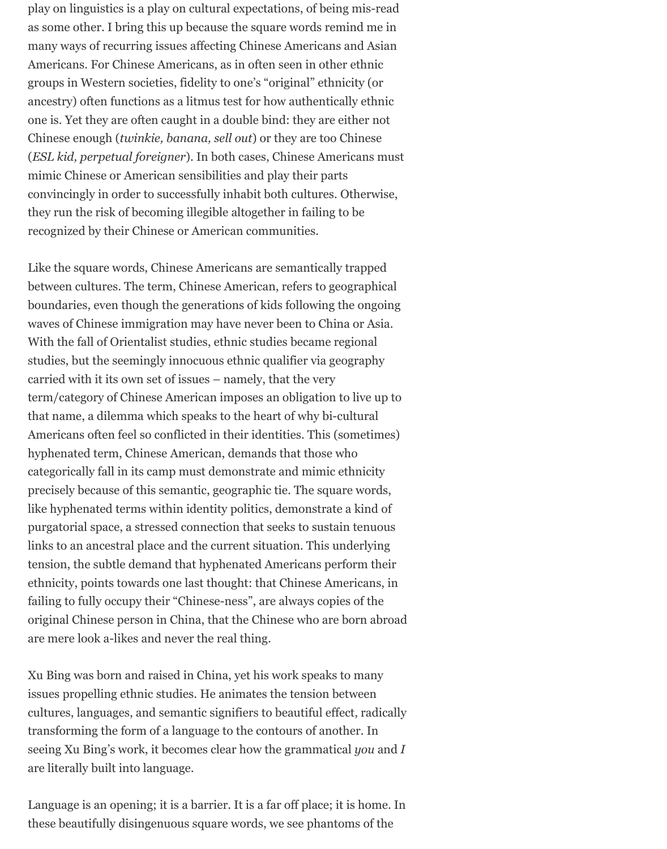play on linguistics is a play on cultural expectations, of being mis-read as some other. I bring this up because the square words remind me in many ways of recurring issues affecting Chinese Americans and Asian Americans. For Chinese Americans, as in often seen in other ethnic groups in Western societies, fidelity to one's "original" ethnicity (or ancestry) often functions as a litmus test for how authentically ethnic one is. Yet they are often caught in a double bind: they are either not Chinese enough (*twinkie, banana, sell out*) or they are too Chinese (*ESL kid, perpetual foreigner*). In both cases, Chinese Americans must mimic Chinese or American sensibilities and play their parts convincingly in order to successfully inhabit both cultures. Otherwise, they run the risk of becoming illegible altogether in failing to be recognized by their Chinese or American communities.

Like the square words, Chinese Americans are semantically trapped between cultures. The term, Chinese American, refers to geographical boundaries, even though the generations of kids following the ongoing waves of Chinese immigration may have never been to China or Asia. With the fall of Orientalist studies, ethnic studies became regional studies, but the seemingly innocuous ethnic qualifier via geography carried with it its own set of issues – namely, that the very term/category of Chinese American imposes an obligation to live up to that name, a dilemma which speaks to the heart of why bi-cultural Americans often feel so conflicted in their identities. This (sometimes) hyphenated term, Chinese American, demands that those who categorically fall in its camp must demonstrate and mimic ethnicity precisely because of this semantic, geographic tie. The square words, like hyphenated terms within identity politics, demonstrate a kind of purgatorial space, a stressed connection that seeks to sustain tenuous links to an ancestral place and the current situation. This underlying tension, the subtle demand that hyphenated Americans perform their ethnicity, points towards one last thought: that Chinese Americans, in failing to fully occupy their "Chinese-ness", are always copies of the original Chinese person in China, that the Chinese who are born abroad are mere look a-likes and never the real thing.

Xu Bing was born and raised in China, yet his work speaks to many issues propelling ethnic studies. He animates the tension between cultures, languages, and semantic signifiers to beautiful effect, radically transforming the form of a language to the contours of another. In seeing Xu Bing's work, it becomes clear how the grammatical *you* and *I* are literally built into language.

Language is an opening; it is a barrier. It is a far off place; it is home. In these beautifully disingenuous square words, we see phantoms of the